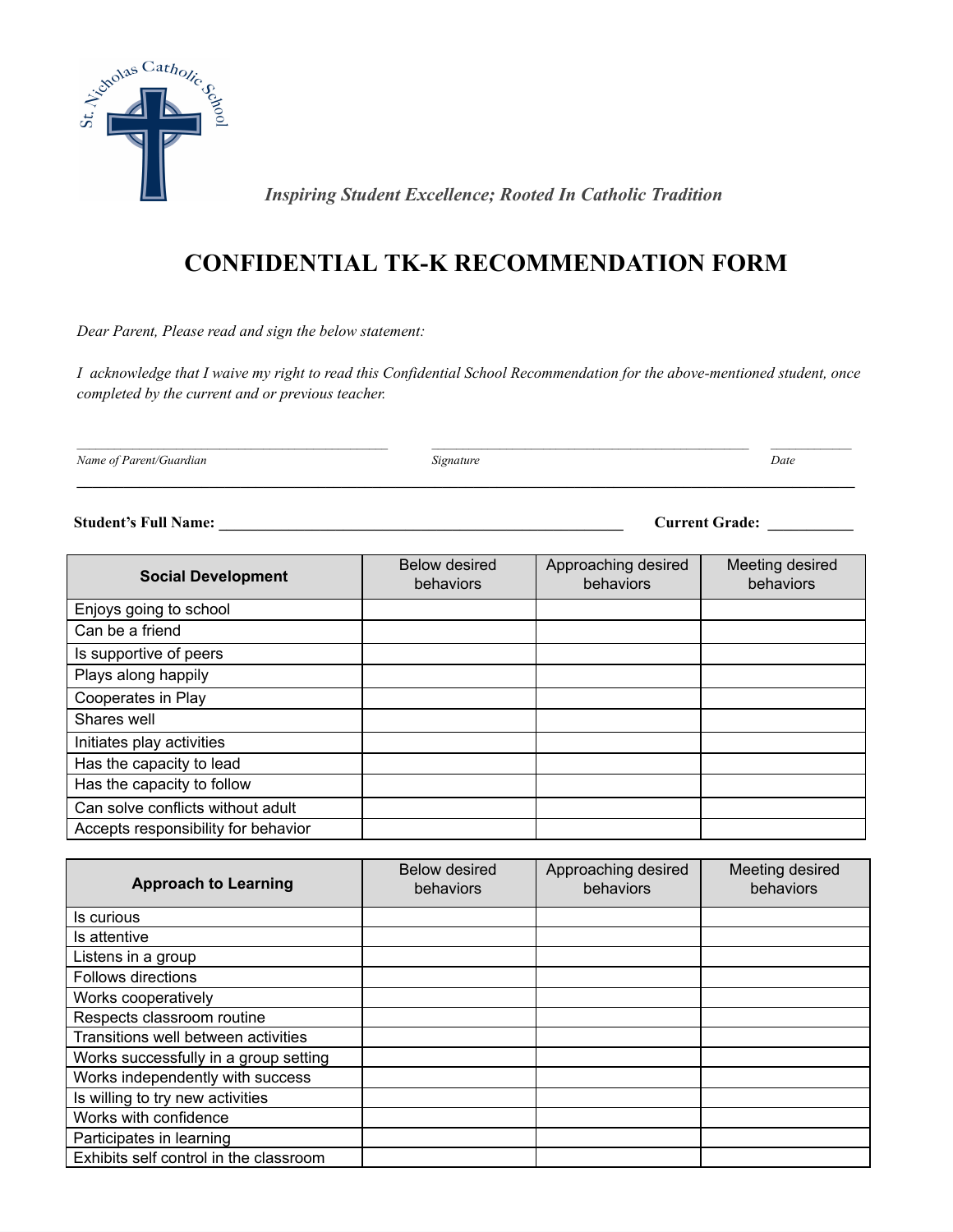

 *Inspiring Student Excellence; Rooted In Catholic Tradition*

## **CONFIDENTIAL TK-K RECOMMENDATION FORM**

*Dear Parent, Please read and sign the below statement:*

I acknowledge that I waive my right to read this Confidential School Recommendation for the above-mentioned student, once *completed by the current and or previous teacher.*

*Name of Parent/Guardian Signature Date*

**\_\_\_\_\_\_\_\_\_\_\_\_\_\_\_\_\_\_\_\_\_\_\_\_\_\_\_\_\_\_\_\_\_\_\_\_\_\_\_\_\_\_\_\_\_\_\_\_\_\_\_\_\_\_\_\_\_\_\_\_\_\_\_\_\_\_\_\_\_\_\_\_\_\_\_\_\_\_\_\_\_\_\_\_\_\_\_\_\_\_\_\_\_\_\_\_\_\_\_\_**

**Student's Full Name: \_\_\_\_\_\_\_\_\_\_\_\_\_\_\_\_\_\_\_\_\_\_\_\_\_\_\_\_\_\_\_\_\_\_\_\_\_\_\_\_\_\_\_\_\_\_\_\_\_\_\_\_ Current Grade: \_\_\_\_\_\_\_\_\_\_\_**

**Social Development** Below desired behaviors Approaching desired behaviors Meeting desired behaviors Enjoys going to school Can be a friend Is supportive of peers Plays along happily Cooperates in Play Shares well Initiates play activities Has the capacity to lead Has the capacity to follow Can solve conflicts without adult Accepts responsibility for behavior

| <b>Approach to Learning</b>            | Below desired<br>behaviors | Approaching desired<br>behaviors | Meeting desired<br>behaviors |
|----------------------------------------|----------------------------|----------------------------------|------------------------------|
| Is curious                             |                            |                                  |                              |
| Is attentive                           |                            |                                  |                              |
| Listens in a group                     |                            |                                  |                              |
| Follows directions                     |                            |                                  |                              |
| Works cooperatively                    |                            |                                  |                              |
| Respects classroom routine             |                            |                                  |                              |
| Transitions well between activities    |                            |                                  |                              |
| Works successfully in a group setting  |                            |                                  |                              |
| Works independently with success       |                            |                                  |                              |
| Is willing to try new activities       |                            |                                  |                              |
| Works with confidence                  |                            |                                  |                              |
| Participates in learning               |                            |                                  |                              |
| Exhibits self control in the classroom |                            |                                  |                              |